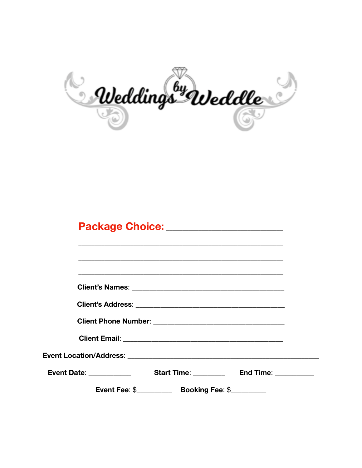

## Package Choice: \_\_\_\_\_\_\_\_\_\_\_\_\_\_\_\_\_\_\_\_\_\_\_

| <b>Start Time:</b> Start Time:<br>End Time: <u>_____________</u><br><b>Event Date: Event Date:</b> |  |  |  |
|----------------------------------------------------------------------------------------------------|--|--|--|
|                                                                                                    |  |  |  |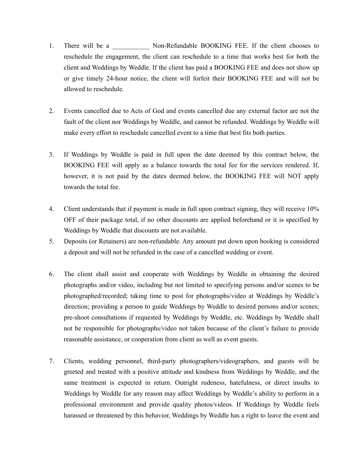- 1. There will be a  $\blacksquare$  Non-Refundable BOOKING FEE. If the client chooses to reschedule the engagement, the client can reschedule to a time that works best for both the client and Weddings by Weddle. If the client has paid a BOOKING FEE and does not show up or give timely 24-hour notice, the client will forfeit their BOOKING FEE and will not be allowed to reschedule.
- 2. Events cancelled due to Acts of God and events cancelled due any external factor are not the fault of the client nor Weddings by Weddle, and cannot be refunded. Weddings by Weddle will make every effort to reschedule cancelled event to a time that best fits both parties.
- 3. If Weddings by Weddle is paid in full upon the date deemed by this contract below, the BOOKING FEE will apply as a balance towards the total fee for the services rendered. If, however, it is not paid by the dates deemed below, the BOOKING FEE will NOT apply towards the total fee.
- 4. Client understands that if payment is made in full upon contract signing, they will receive 10% OFF of their package total, if no other discounts are applied beforehand or it is specified by Weddings by Weddle that discounts are not available.
- 5. Deposits (or Retainers) are non-refundable. Any amount put down upon booking is considered a deposit and will not be refunded in the case of a cancelled wedding or event.
- 6. The client shall assist and cooperate with Weddings by Weddle in obtaining the desired photographs and/or video, including but not limited to specifying persons and/or scenes to be photographed/recorded; taking time to post for photographs/video at Weddings by Weddle's direction; providing a person to guide Weddings by Weddle to desired persons and/or scenes; pre-shoot consultations if requested by Weddings by Weddle, etc. Weddings by Weddle shall not be responsible for photographs/video not taken because of the client's failure to provide reasonable assistance, or cooperation from client as well as event guests.
- 7. Clients, wedding personnel, third-party photographers/videographers, and guests will be greeted and treated with a positive attitude and kindness from Weddings by Weddle, and the same treatment is expected in return. Outright rudeness, hatefulness, or direct insults to Weddings by Weddle for any reason may affect Weddings by Weddle's ability to perform in a professional environment and provide quality photos/videos. If Weddings by Weddle feels harassed or threatened by this behavior, Weddings by Weddle has a right to leave the event and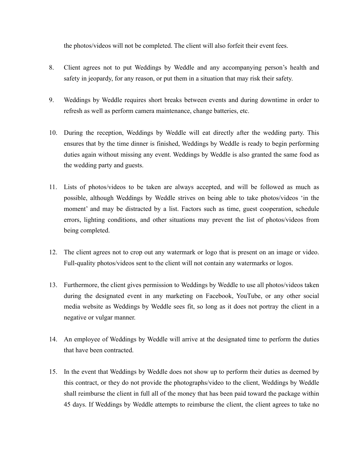the photos/videos will not be completed. The client will also forfeit their event fees.

- 8. Client agrees not to put Weddings by Weddle and any accompanying person's health and safety in jeopardy, for any reason, or put them in a situation that may risk their safety.
- 9. Weddings by Weddle requires short breaks between events and during downtime in order to refresh as well as perform camera maintenance, change batteries, etc.
- 10. During the reception, Weddings by Weddle will eat directly after the wedding party. This ensures that by the time dinner is finished, Weddings by Weddle is ready to begin performing duties again without missing any event. Weddings by Weddle is also granted the same food as the wedding party and guests.
- 11. Lists of photos/videos to be taken are always accepted, and will be followed as much as possible, although Weddings by Weddle strives on being able to take photos/videos 'in the moment' and may be distracted by a list. Factors such as time, guest cooperation, schedule errors, lighting conditions, and other situations may prevent the list of photos/videos from being completed.
- 12. The client agrees not to crop out any watermark or logo that is present on an image or video. Full-quality photos/videos sent to the client will not contain any watermarks or logos.
- 13. Furthermore, the client gives permission to Weddings by Weddle to use all photos/videos taken during the designated event in any marketing on Facebook, YouTube, or any other social media website as Weddings by Weddle sees fit, so long as it does not portray the client in a negative or vulgar manner.
- 14. An employee of Weddings by Weddle will arrive at the designated time to perform the duties that have been contracted.
- 15. In the event that Weddings by Weddle does not show up to perform their duties as deemed by this contract, or they do not provide the photographs/video to the client, Weddings by Weddle shall reimburse the client in full all of the money that has been paid toward the package within 45 days. If Weddings by Weddle attempts to reimburse the client, the client agrees to take no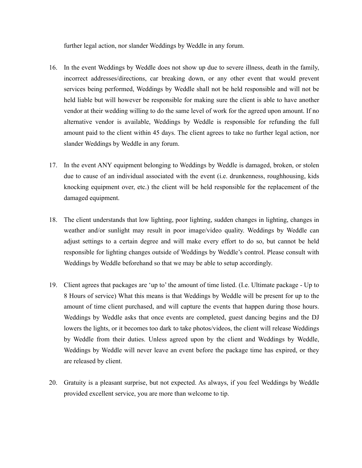further legal action, nor slander Weddings by Weddle in any forum.

- 16. In the event Weddings by Weddle does not show up due to severe illness, death in the family, incorrect addresses/directions, car breaking down, or any other event that would prevent services being performed, Weddings by Weddle shall not be held responsible and will not be held liable but will however be responsible for making sure the client is able to have another vendor at their wedding willing to do the same level of work for the agreed upon amount. If no alternative vendor is available, Weddings by Weddle is responsible for refunding the full amount paid to the client within 45 days. The client agrees to take no further legal action, nor slander Weddings by Weddle in any forum.
- 17. In the event ANY equipment belonging to Weddings by Weddle is damaged, broken, or stolen due to cause of an individual associated with the event (i.e. drunkenness, roughhousing, kids knocking equipment over, etc.) the client will be held responsible for the replacement of the damaged equipment.
- 18. The client understands that low lighting, poor lighting, sudden changes in lighting, changes in weather and/or sunlight may result in poor image/video quality. Weddings by Weddle can adjust settings to a certain degree and will make every effort to do so, but cannot be held responsible for lighting changes outside of Weddings by Weddle's control. Please consult with Weddings by Weddle beforehand so that we may be able to setup accordingly.
- 19. Client agrees that packages are 'up to' the amount of time listed. (I.e. Ultimate package Up to 8 Hours of service) What this means is that Weddings by Weddle will be present for up to the amount of time client purchased, and will capture the events that happen during those hours. Weddings by Weddle asks that once events are completed, guest dancing begins and the DJ lowers the lights, or it becomes too dark to take photos/videos, the client will release Weddings by Weddle from their duties. Unless agreed upon by the client and Weddings by Weddle, Weddings by Weddle will never leave an event before the package time has expired, or they are released by client.
- 20. Gratuity is a pleasant surprise, but not expected. As always, if you feel Weddings by Weddle provided excellent service, you are more than welcome to tip.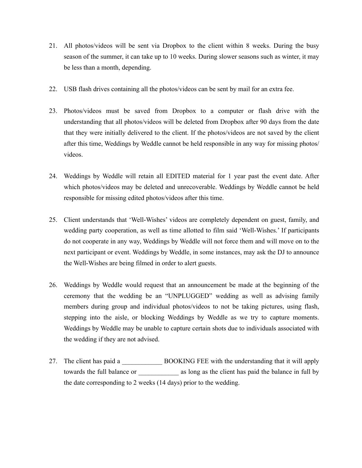- 21. All photos/videos will be sent via Dropbox to the client within 8 weeks. During the busy season of the summer, it can take up to 10 weeks. During slower seasons such as winter, it may be less than a month, depending.
- 22. USB flash drives containing all the photos/videos can be sent by mail for an extra fee.
- 23. Photos/videos must be saved from Dropbox to a computer or flash drive with the understanding that all photos/videos will be deleted from Dropbox after 90 days from the date that they were initially delivered to the client. If the photos/videos are not saved by the client after this time, Weddings by Weddle cannot be held responsible in any way for missing photos/ videos.
- 24. Weddings by Weddle will retain all EDITED material for 1 year past the event date. After which photos/videos may be deleted and unrecoverable. Weddings by Weddle cannot be held responsible for missing edited photos/videos after this time.
- 25. Client understands that 'Well-Wishes' videos are completely dependent on guest, family, and wedding party cooperation, as well as time allotted to film said 'Well-Wishes.' If participants do not cooperate in any way, Weddings by Weddle will not force them and will move on to the next participant or event. Weddings by Weddle, in some instances, may ask the DJ to announce the Well-Wishes are being filmed in order to alert guests.
- 26. Weddings by Weddle would request that an announcement be made at the beginning of the ceremony that the wedding be an "UNPLUGGED" wedding as well as advising family members during group and individual photos/videos to not be taking pictures, using flash, stepping into the aisle, or blocking Weddings by Weddle as we try to capture moments. Weddings by Weddle may be unable to capture certain shots due to individuals associated with the wedding if they are not advised.
- 27. The client has paid a \_\_\_\_\_\_\_\_\_\_\_\_ BOOKING FEE with the understanding that it will apply towards the full balance or \_\_\_\_\_\_\_\_\_\_\_\_\_ as long as the client has paid the balance in full by the date corresponding to 2 weeks (14 days) prior to the wedding.